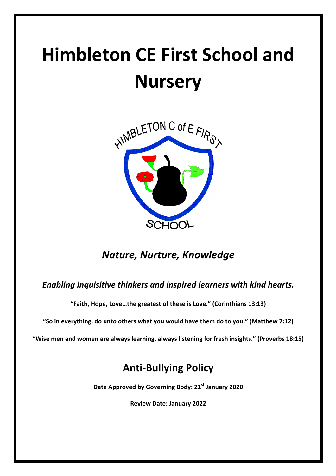# **Himbleton CE First School and Nursery**



# *Nature, Nurture, Knowledge*

## **Enabling inquisitive thinkers and inspired learners with kind hearts.**

"Faith, Hope, Love...the greatest of these is Love." (Corinthians 13:13)

"So in everything, do unto others what you would have them do to you." (Matthew 7:12)

"Wise men and women are always learning, always listening for fresh insights." (Proverbs 18:15)

# **Anti-Bullying Policy**

**Date Approved by Governing Body: 21<sup>st</sup> January 2020** 

**Review Date: January 2022**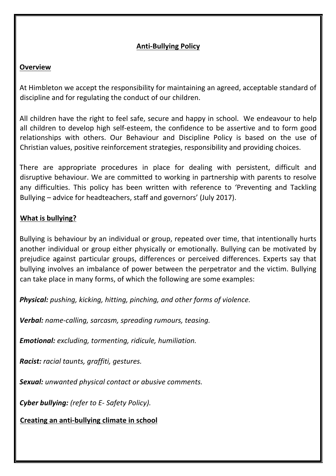#### **Anti-Bullying Policy**

#### **Overview**

At Himbleton we accept the responsibility for maintaining an agreed, acceptable standard of discipline and for regulating the conduct of our children.

All children have the right to feel safe, secure and happy in school. We endeavour to help all children to develop high self-esteem, the confidence to be assertive and to form good relationships with others. Our Behaviour and Discipline Policy is based on the use of Christian values, positive reinforcement strategies, responsibility and providing choices.

There are appropriate procedures in place for dealing with persistent, difficult and disruptive behaviour. We are committed to working in partnership with parents to resolve any difficulties. This policy has been written with reference to 'Preventing and Tackling Bullying – advice for headteachers, staff and governors' (July 2017).

#### **What is bullying?**

Bullying is behaviour by an individual or group, repeated over time, that intentionally hurts another individual or group either physically or emotionally. Bullying can be motivated by prejudice against particular groups, differences or perceived differences. Experts say that bullying involves an imbalance of power between the perpetrator and the victim. Bullying can take place in many forms, of which the following are some examples:

**Physical:** pushing, kicking, hitting, pinching, and other forms of violence.

**Verbal:** name-calling, sarcasm, spreading rumours, teasing.

*Emotional: excluding, tormenting, ridicule, humiliation.* 

*Racist: racial taunts, graffiti, gestures.* 

**Sexual:** unwanted physical contact or abusive comments.

**Cyber bullying:** (refer to E- Safety Policy).

**Creating an anti-bullying climate in school**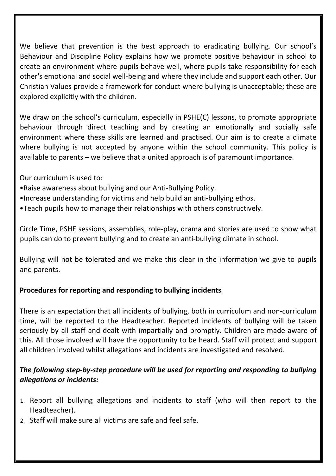We believe that prevention is the best approach to eradicating bullying. Our school's Behaviour and Discipline Policy explains how we promote positive behaviour in school to create an environment where pupils behave well, where pupils take responsibility for each other's emotional and social well-being and where they include and support each other. Our Christian Values provide a framework for conduct where bullying is unacceptable; these are explored explicitly with the children.

We draw on the school's curriculum, especially in PSHE(C) lessons, to promote appropriate behaviour through direct teaching and by creating an emotionally and socially safe environment where these skills are learned and practised. Our aim is to create a climate where bullying is not accepted by anyone within the school community. This policy is available to parents  $-$  we believe that a united approach is of paramount importance.

Our curriculum is used to:

- Raise awareness about bullying and our Anti-Bullying Policy.
- •Increase understanding for victims and help build an anti-bullying ethos.
- •Teach pupils how to manage their relationships with others constructively.

Circle Time, PSHE sessions, assemblies, role-play, drama and stories are used to show what pupils can do to prevent bullying and to create an anti-bullying climate in school.

Bullying will not be tolerated and we make this clear in the information we give to pupils and parents.

#### **Procedures for reporting and responding to bullying incidents**

There is an expectation that all incidents of bullying, both in curriculum and non-curriculum time, will be reported to the Headteacher. Reported incidents of bullying will be taken seriously by all staff and dealt with impartially and promptly. Children are made aware of this. All those involved will have the opportunity to be heard. Staff will protect and support all children involved whilst allegations and incidents are investigated and resolved.

## The following step-by-step procedure will be used for reporting and responding to bullying *allegations or incidents:*

- 1. Report all bullying allegations and incidents to staff (who will then report to the Headteacher).
- 2. Staff will make sure all victims are safe and feel safe.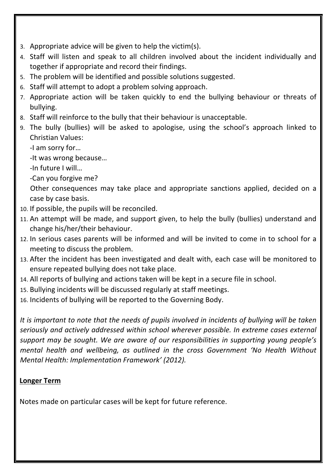- 3. Appropriate advice will be given to help the victim(s).
- 4. Staff will listen and speak to all children involved about the incident individually and together if appropriate and record their findings.
- 5. The problem will be identified and possible solutions suggested.
- 6. Staff will attempt to adopt a problem solving approach.
- 7. Appropriate action will be taken quickly to end the bullying behaviour or threats of bullying.
- 8. Staff will reinforce to the bully that their behaviour is unacceptable.
- 9. The bully (bullies) will be asked to apologise, using the school's approach linked to Christian Values:

-I am sorry for...

-It was wrong because...

-In future I will...

-Can you forgive me?

Other consequences may take place and appropriate sanctions applied, decided on a case by case basis.

- 10. If possible, the pupils will be reconciled.
- 11. An attempt will be made, and support given, to help the bully (bullies) understand and change his/her/their behaviour.
- 12. In serious cases parents will be informed and will be invited to come in to school for a meeting to discuss the problem.
- 13. After the incident has been investigated and dealt with, each case will be monitored to ensure repeated bullying does not take place.
- 14. All reports of bullying and actions taken will be kept in a secure file in school.
- 15. Bullying incidents will be discussed regularly at staff meetings.
- 16. Incidents of bullying will be reported to the Governing Body.

It is important to note that the needs of pupils involved in incidents of bullying will be taken *seriously* and actively addressed within school wherever possible. In extreme cases external *support* may be sought. We are aware of our responsibilities in supporting young people's *mental health and wellbeing, as outlined in the cross Government 'No Health Without Mental Health: Implementation Framework' (2012).* 

## **Longer Term**

Notes made on particular cases will be kept for future reference.